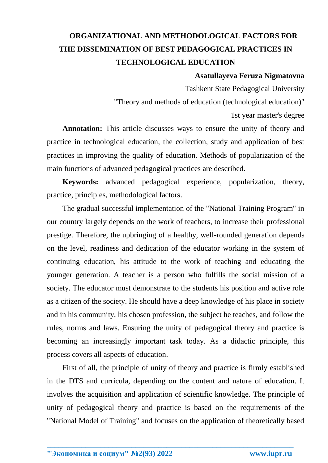## **ORGANIZATIONAL AND METHODOLOGICAL FACTORS FOR THE DISSEMINATION OF BEST PEDAGOGICAL PRACTICES IN TECHNOLOGICAL EDUCATION**

## **Asatullayeva Feruza Nigmatovna**

Tashkent State Pedagogical University

"Theory and methods of education (technological education)"

1st year master's degree

**Annotation:** This article discusses ways to ensure the unity of theory and practice in technological education, the collection, study and application of best practices in improving the quality of education. Methods of popularization of the main functions of advanced pedagogical practices are described.

**Keywords:** advanced pedagogical experience, popularization, theory, practice, principles, methodological factors.

The gradual successful implementation of the "National Training Program" in our country largely depends on the work of teachers, to increase their professional prestige. Therefore, the upbringing of a healthy, well-rounded generation depends on the level, readiness and dedication of the educator working in the system of continuing education, his attitude to the work of teaching and educating the younger generation. A teacher is a person who fulfills the social mission of a society. The educator must demonstrate to the students his position and active role as a citizen of the society. He should have a deep knowledge of his place in society and in his community, his chosen profession, the subject he teaches, and follow the rules, norms and laws. Ensuring the unity of pedagogical theory and practice is becoming an increasingly important task today. As a didactic principle, this process covers all aspects of education.

First of all, the principle of unity of theory and practice is firmly established in the DTS and curricula, depending on the content and nature of education. It involves the acquisition and application of scientific knowledge. The principle of unity of pedagogical theory and practice is based on the requirements of the "National Model of Training" and focuses on the application of theoretically based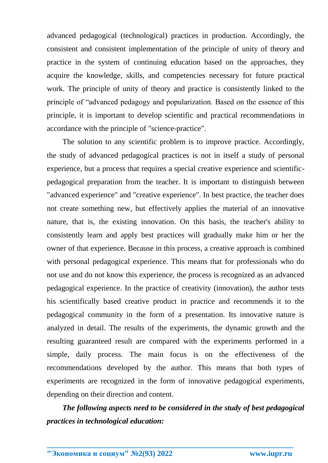advanced pedagogical (technological) practices in production. Accordingly, the consistent and consistent implementation of the principle of unity of theory and practice in the system of continuing education based on the approaches, they acquire the knowledge, skills, and competencies necessary for future practical work. The principle of unity of theory and practice is consistently linked to the principle of "advanced pedagogy and popularization. Based on the essence of this principle, it is important to develop scientific and practical recommendations in accordance with the principle of "science-practice".

The solution to any scientific problem is to improve practice. Accordingly, the study of advanced pedagogical practices is not in itself a study of personal experience, but a process that requires a special creative experience and scientificpedagogical preparation from the teacher. It is important to distinguish between "advanced experience" and "creative experience". In best practice, the teacher does not create something new, but effectively applies the material of an innovative nature, that is, the existing innovation. On this basis, the teacher's ability to consistently learn and apply best practices will gradually make him or her the owner of that experience. Because in this process, a creative approach is combined with personal pedagogical experience. This means that for professionals who do not use and do not know this experience, the process is recognized as an advanced pedagogical experience. In the practice of creativity (innovation), the author tests his scientifically based creative product in practice and recommends it to the pedagogical community in the form of a presentation. Its innovative nature is analyzed in detail. The results of the experiments, the dynamic growth and the resulting guaranteed result are compared with the experiments performed in a simple, daily process. The main focus is on the effectiveness of the recommendations developed by the author. This means that both types of experiments are recognized in the form of innovative pedagogical experiments, depending on their direction and content.

*The following aspects need to be considered in the study of best pedagogical practices in technological education:*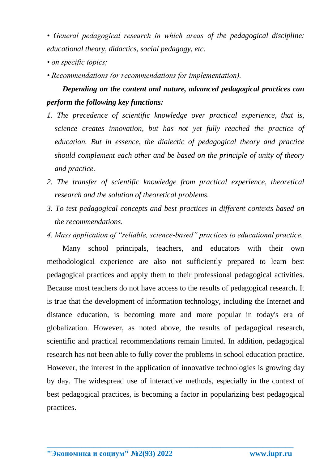*• General pedagogical research in which areas of the pedagogical discipline: educational theory, didactics, social pedagogy, etc.*

- *on specific topics;*
- *Recommendations (or recommendations for implementation).*

## *Depending on the content and nature, advanced pedagogical practices can perform the following key functions:*

- *1. The precedence of scientific knowledge over practical experience, that is, science creates innovation, but has not yet fully reached the practice of education. But in essence, the dialectic of pedagogical theory and practice should complement each other and be based on the principle of unity of theory and practice.*
- *2. The transfer of scientific knowledge from practical experience, theoretical research and the solution of theoretical problems.*
- *3. To test pedagogical concepts and best practices in different contexts based on the recommendations.*
- *4. Mass application of "reliable, science-based" practices to educational practice.*

Many school principals, teachers, and educators with their own methodological experience are also not sufficiently prepared to learn best pedagogical practices and apply them to their professional pedagogical activities. Because most teachers do not have access to the results of pedagogical research. It is true that the development of information technology, including the Internet and distance education, is becoming more and more popular in today's era of globalization. However, as noted above, the results of pedagogical research, scientific and practical recommendations remain limited. In addition, pedagogical research has not been able to fully cover the problems in school education practice. However, the interest in the application of innovative technologies is growing day by day. The widespread use of interactive methods, especially in the context of best pedagogical practices, is becoming a factor in popularizing best pedagogical practices.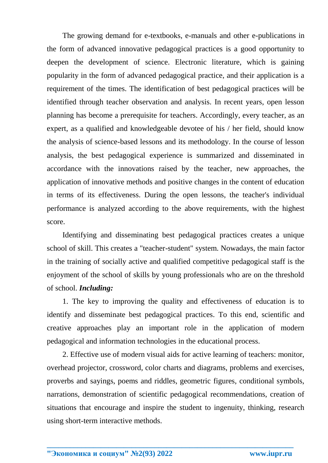The growing demand for e-textbooks, e-manuals and other e-publications in the form of advanced innovative pedagogical practices is a good opportunity to deepen the development of science. Electronic literature, which is gaining popularity in the form of advanced pedagogical practice, and their application is a requirement of the times. The identification of best pedagogical practices will be identified through teacher observation and analysis. In recent years, open lesson planning has become a prerequisite for teachers. Accordingly, every teacher, as an expert, as a qualified and knowledgeable devotee of his / her field, should know the analysis of science-based lessons and its methodology. In the course of lesson analysis, the best pedagogical experience is summarized and disseminated in accordance with the innovations raised by the teacher, new approaches, the application of innovative methods and positive changes in the content of education in terms of its effectiveness. During the open lessons, the teacher's individual performance is analyzed according to the above requirements, with the highest score.

Identifying and disseminating best pedagogical practices creates a unique school of skill. This creates a "teacher-student" system. Nowadays, the main factor in the training of socially active and qualified competitive pedagogical staff is the enjoyment of the school of skills by young professionals who are on the threshold of school. *Including:*

1. The key to improving the quality and effectiveness of education is to identify and disseminate best pedagogical practices. To this end, scientific and creative approaches play an important role in the application of modern pedagogical and information technologies in the educational process.

2. Effective use of modern visual aids for active learning of teachers: monitor, overhead projector, crossword, color charts and diagrams, problems and exercises, proverbs and sayings, poems and riddles, geometric figures, conditional symbols, narrations, demonstration of scientific pedagogical recommendations, creation of situations that encourage and inspire the student to ingenuity, thinking, research using short-term interactive methods.